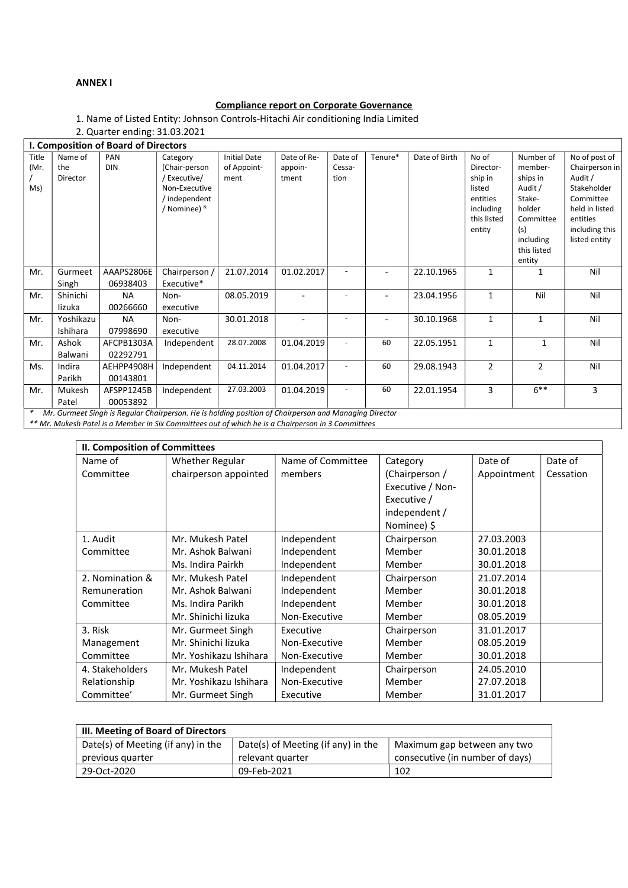### ANNEX I

## Compliance report on Corporate Governance

1. Name of Listed Entity: Johnson Controls-Hitachi Air conditioning India Limited

2. Quarter ending: 31.03.2021

|               | I. Composition of Board of Directors |                   |                           |                                    |                        |                          |         |               |                    |                          |                                 |
|---------------|--------------------------------------|-------------------|---------------------------|------------------------------------|------------------------|--------------------------|---------|---------------|--------------------|--------------------------|---------------------------------|
| Title<br>(Mr. | Name of<br>the                       | PAN<br><b>DIN</b> | Category<br>(Chair-person | <b>Initial Date</b><br>of Appoint- | Date of Re-<br>appoin- | Date of<br>Cessa-        | Tenure* | Date of Birth | No of<br>Director- | Number of<br>member-     | No of post of<br>Chairperson in |
|               | Director                             |                   | / Executive/              | ment                               | tment                  | tion                     |         |               | ship in            | ships in                 | Audit /                         |
| Ms)           |                                      |                   | Non-Executive             |                                    |                        |                          |         |               | listed             | Audit /                  | Stakeholder                     |
|               |                                      |                   | independent               |                                    |                        |                          |         |               | entities           | Stake-                   | Committee                       |
|               |                                      |                   | / Nominee) &              |                                    |                        |                          |         |               | including          | holder                   | held in listed                  |
|               |                                      |                   |                           |                                    |                        |                          |         |               | this listed        | Committee                | entities                        |
|               |                                      |                   |                           |                                    |                        |                          |         |               | entity             | (s)                      | including this                  |
|               |                                      |                   |                           |                                    |                        |                          |         |               |                    | including<br>this listed | listed entity                   |
|               |                                      |                   |                           |                                    |                        |                          |         |               |                    | entity                   |                                 |
| Mr.           | Gurmeet                              | AAAPS2806E        | Chairperson /             | 21.07.2014                         | 01.02.2017             |                          | ۰       | 22.10.1965    | 1                  | 1                        | Nil                             |
|               | Singh                                | 06938403          | Executive*                |                                    |                        |                          |         |               |                    |                          |                                 |
|               | Shinichi                             |                   |                           |                                    |                        |                          |         |               |                    | Nil                      | Nil                             |
| Mr.           |                                      | <b>NA</b>         | Non-                      | 08.05.2019                         |                        |                          | ۰       | 23.04.1956    | 1                  |                          |                                 |
|               | lizuka                               | 00266660          | executive                 |                                    |                        |                          |         |               |                    |                          |                                 |
| Mr.           | Yoshikazu                            | <b>NA</b>         | Non-                      | 30.01.2018                         |                        |                          |         | 30.10.1968    | 1                  | 1                        | Nil                             |
|               | Ishihara                             | 07998690          | executive                 |                                    |                        |                          |         |               |                    |                          |                                 |
| Mr.           | Ashok                                | AFCPB1303A        | Independent               | 28.07.2008                         | 01.04.2019             |                          | 60      | 22.05.1951    | 1                  | 1                        | Nil                             |
|               | Balwani                              | 02292791          |                           |                                    |                        |                          |         |               |                    |                          |                                 |
| Ms.           | Indira                               | AEHPP4908H        | Independent               | 04.11.2014                         | 01.04.2017             |                          | 60      | 29.08.1943    | $\overline{2}$     | $\overline{2}$           | Nil                             |
|               | Parikh                               | 00143801          |                           |                                    |                        |                          |         |               |                    |                          |                                 |
| Mr.           | Mukesh                               | AFSPP1245B        | Independent               | 27.03.2003                         | 01.04.2019             | $\overline{\phantom{a}}$ | 60      | 22.01.1954    | 3                  | $6***$                   | 3                               |
|               | Patel                                | 00053892          |                           |                                    |                        |                          |         |               |                    |                          |                                 |

Mr. Gurmeet Singh is Regular Chairperson. He is holding position of Chairperson and Managing Director

\*\* Mr. Mukesh Patel is a Member in Six Committees out of which he is a Chairperson in 3 Committees

| <b>II. Composition of Committees</b> |                        |                   |                  |             |           |  |  |
|--------------------------------------|------------------------|-------------------|------------------|-------------|-----------|--|--|
| Name of                              | <b>Whether Regular</b> | Name of Committee | Category         | Date of     | Date of   |  |  |
| Committee                            | chairperson appointed  | members           | (Chairperson /   | Appointment | Cessation |  |  |
|                                      |                        |                   | Executive / Non- |             |           |  |  |
|                                      |                        |                   | Executive /      |             |           |  |  |
|                                      |                        |                   | independent /    |             |           |  |  |
|                                      |                        |                   | Nominee) \$      |             |           |  |  |
| 1. Audit                             | Mr. Mukesh Patel       | Independent       | Chairperson      | 27.03.2003  |           |  |  |
| Committee                            | Mr. Ashok Balwani      | Independent       | Member           | 30.01.2018  |           |  |  |
|                                      | Ms. Indira Pairkh      | Independent       | Member           | 30.01.2018  |           |  |  |
| 2. Nomination &                      | Mr. Mukesh Patel       | Independent       | Chairperson      | 21.07.2014  |           |  |  |
| Remuneration                         | Mr. Ashok Balwani      | Independent       | Member           | 30.01.2018  |           |  |  |
| Committee                            | Ms. Indira Parikh      | Independent       | Member           | 30.01.2018  |           |  |  |
|                                      | Mr. Shinichi lizuka    | Non-Executive     | Member           | 08.05.2019  |           |  |  |
| 3. Risk                              | Mr. Gurmeet Singh      | Executive         | Chairperson      | 31.01.2017  |           |  |  |
| Management                           | Mr. Shinichi lizuka    | Non-Executive     | Member           | 08.05.2019  |           |  |  |
| Committee                            | Mr. Yoshikazu Ishihara | Non-Executive     | Member           | 30.01.2018  |           |  |  |
| 4. Stakeholders                      | Mr. Mukesh Patel       | Independent       | Chairperson      | 24.05.2010  |           |  |  |
| Relationship                         | Mr. Yoshikazu Ishihara | Non-Executive     | Member           | 27.07.2018  |           |  |  |
| Committee'                           | Mr. Gurmeet Singh      | Executive         | Member           | 31.01.2017  |           |  |  |

| III. Meeting of Board of Directors |                                    |                                 |  |  |  |
|------------------------------------|------------------------------------|---------------------------------|--|--|--|
| Date(s) of Meeting (if any) in the | Date(s) of Meeting (if any) in the | Maximum gap between any two     |  |  |  |
| previous quarter                   | relevant quarter                   | consecutive (in number of days) |  |  |  |
| 29-Oct-2020                        | 09-Feb-2021                        | 102                             |  |  |  |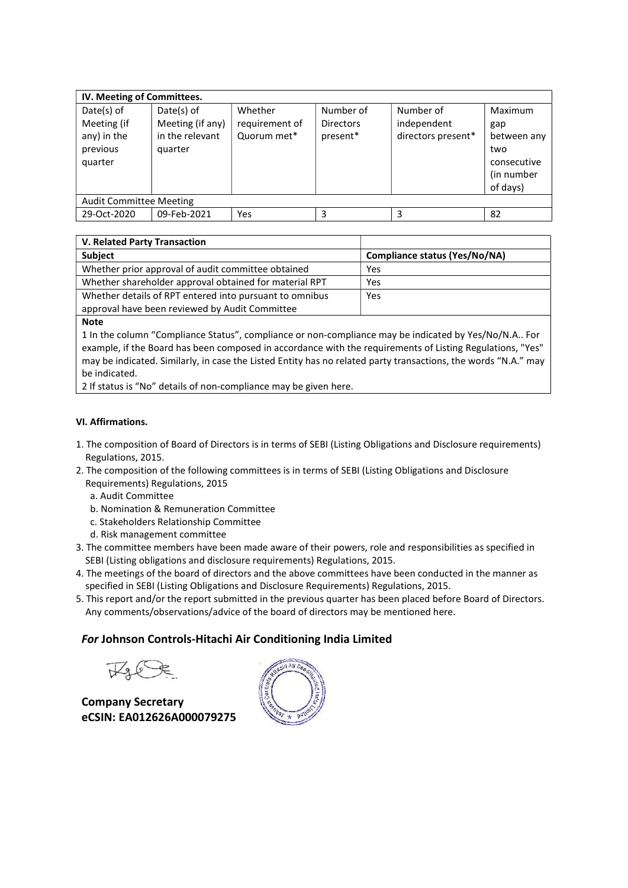| IV. Meeting of Committees.                                      |                                                              |                                          |                                           |                                                |                                                                               |  |  |  |
|-----------------------------------------------------------------|--------------------------------------------------------------|------------------------------------------|-------------------------------------------|------------------------------------------------|-------------------------------------------------------------------------------|--|--|--|
| Date(s) of<br>Meeting (if<br>any) in the<br>previous<br>quarter | Date(s) of<br>Meeting (if any)<br>in the relevant<br>quarter | Whether<br>requirement of<br>Quorum met* | Number of<br><b>Directors</b><br>present* | Number of<br>independent<br>directors present* | Maximum<br>gap<br>between any<br>two<br>consecutive<br>(in number<br>of days) |  |  |  |
| <b>Audit Committee Meeting</b>                                  |                                                              |                                          |                                           |                                                |                                                                               |  |  |  |
| 29-Oct-2020                                                     | 09-Feb-2021                                                  | Yes                                      | 3                                         | 3                                              | 82                                                                            |  |  |  |

| V. Related Party Transaction                            |                                      |
|---------------------------------------------------------|--------------------------------------|
| <b>Subject</b>                                          | <b>Compliance status (Yes/No/NA)</b> |
| Whether prior approval of audit committee obtained      | Yes                                  |
| Whether shareholder approval obtained for material RPT  | Yes                                  |
| Whether details of RPT entered into pursuant to omnibus | Yes                                  |
| approval have been reviewed by Audit Committee          |                                      |

#### Note

1 In the column "Compliance Status", compliance or non-compliance may be indicated by Yes/No/N.A.. For example, if the Board has been composed in accordance with the requirements of Listing Regulations, "Yes" may be indicated. Similarly, in case the Listed Entity has no related party transactions, the words "N.A." may be indicated.

2 If status is "No" details of non-compliance may be given here.

### VI. Affirmations.

- 1. The composition of Board of Directors is in terms of SEBI (Listing Obligations and Disclosure requirements) Regulations, 2015.
- 2. The composition of the following committees is in terms of SEBI (Listing Obligations and Disclosure Requirements) Regulations, 2015
	- a. Audit Committee
	- b. Nomination & Remuneration Committee
	- c. Stakeholders Relationship Committee
	- d. Risk management committee
- 3. The committee members have been made aware of their powers, role and responsibilities as specified in SEBI (Listing obligations and disclosure requirements) Regulations, 2015.
- 4. The meetings of the board of directors and the above committees have been conducted in the manner as specified in SEBI (Listing Obligations and Disclosure Requirements) Regulations, 2015.
- 5. This report and/or the report submitted in the previous quarter has been placed before Board of Directors. Any comments/observations/advice of the board of directors may be mentioned here.

# For Johnson Controls-Hitachi Air Conditioning India Limited

Company Secretary eCSIN: EA012626A000079275

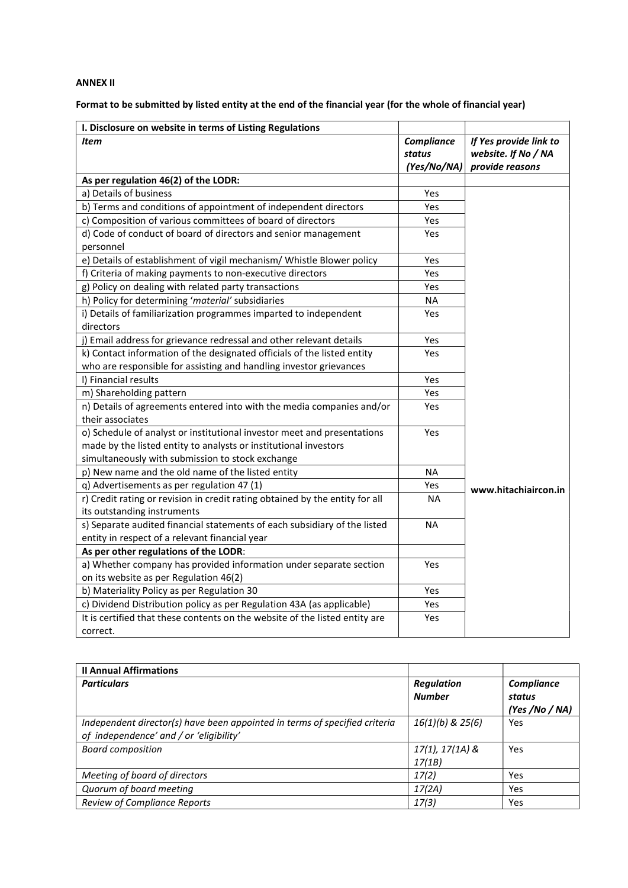## ANNEX II

# Format to be submitted by listed entity at the end of the financial year (for the whole of financial year)

| I. Disclosure on website in terms of Listing Regulations                                                    |                                     |                                                                  |
|-------------------------------------------------------------------------------------------------------------|-------------------------------------|------------------------------------------------------------------|
| Item                                                                                                        | Compliance<br>status<br>(Yes/No/NA) | If Yes provide link to<br>website. If No / NA<br>provide reasons |
| As per regulation 46(2) of the LODR:                                                                        |                                     |                                                                  |
| a) Details of business                                                                                      | Yes                                 |                                                                  |
| b) Terms and conditions of appointment of independent directors                                             | Yes                                 |                                                                  |
| c) Composition of various committees of board of directors                                                  | Yes                                 |                                                                  |
| d) Code of conduct of board of directors and senior management<br>personnel                                 | Yes                                 |                                                                  |
| e) Details of establishment of vigil mechanism/ Whistle Blower policy                                       | Yes                                 |                                                                  |
| f) Criteria of making payments to non-executive directors                                                   | Yes                                 |                                                                  |
| g) Policy on dealing with related party transactions                                                        | Yes                                 |                                                                  |
| h) Policy for determining 'material' subsidiaries                                                           | <b>NA</b>                           |                                                                  |
| i) Details of familiarization programmes imparted to independent<br>directors                               | Yes                                 |                                                                  |
| j) Email address for grievance redressal and other relevant details                                         | Yes                                 |                                                                  |
| k) Contact information of the designated officials of the listed entity                                     | Yes                                 |                                                                  |
| who are responsible for assisting and handling investor grievances                                          |                                     |                                                                  |
| I) Financial results                                                                                        | Yes                                 |                                                                  |
| m) Shareholding pattern                                                                                     | Yes                                 |                                                                  |
| n) Details of agreements entered into with the media companies and/or                                       | Yes                                 |                                                                  |
| their associates                                                                                            |                                     |                                                                  |
| o) Schedule of analyst or institutional investor meet and presentations                                     | Yes                                 |                                                                  |
| made by the listed entity to analysts or institutional investors                                            |                                     |                                                                  |
| simultaneously with submission to stock exchange                                                            |                                     |                                                                  |
| p) New name and the old name of the listed entity                                                           | NA                                  |                                                                  |
| q) Advertisements as per regulation 47 (1)                                                                  | Yes                                 | www.hitachiaircon.in                                             |
| r) Credit rating or revision in credit rating obtained by the entity for all<br>its outstanding instruments | <b>NA</b>                           |                                                                  |
| s) Separate audited financial statements of each subsidiary of the listed                                   | <b>NA</b>                           |                                                                  |
| entity in respect of a relevant financial year                                                              |                                     |                                                                  |
| As per other regulations of the LODR:                                                                       |                                     |                                                                  |
| a) Whether company has provided information under separate section                                          | Yes                                 |                                                                  |
| on its website as per Regulation 46(2)                                                                      |                                     |                                                                  |
| b) Materiality Policy as per Regulation 30                                                                  | Yes                                 |                                                                  |
| c) Dividend Distribution policy as per Regulation 43A (as applicable)                                       | Yes                                 |                                                                  |
| It is certified that these contents on the website of the listed entity are                                 | Yes                                 |                                                                  |
| correct.                                                                                                    |                                     |                                                                  |

| <b>Il Annual Affirmations</b>                                                                                         |                                    |                                        |
|-----------------------------------------------------------------------------------------------------------------------|------------------------------------|----------------------------------------|
| <b>Particulars</b>                                                                                                    | <b>Regulation</b><br><b>Number</b> | Compliance<br>status<br>(Yes /No / NA) |
| Independent director(s) have been appointed in terms of specified criteria<br>of independence' and / or 'eligibility' | $16(1)(b)$ & $25(6)$               | Yes                                    |
| <b>Board composition</b>                                                                                              | $17(1), 17(1A)$ &<br>17(1B)        | Yes                                    |
| Meeting of board of directors                                                                                         | 17(2)                              | Yes                                    |
| Quorum of board meeting                                                                                               | 17(2A)                             | Yes                                    |
| <b>Review of Compliance Reports</b>                                                                                   | 17(3)                              | Yes                                    |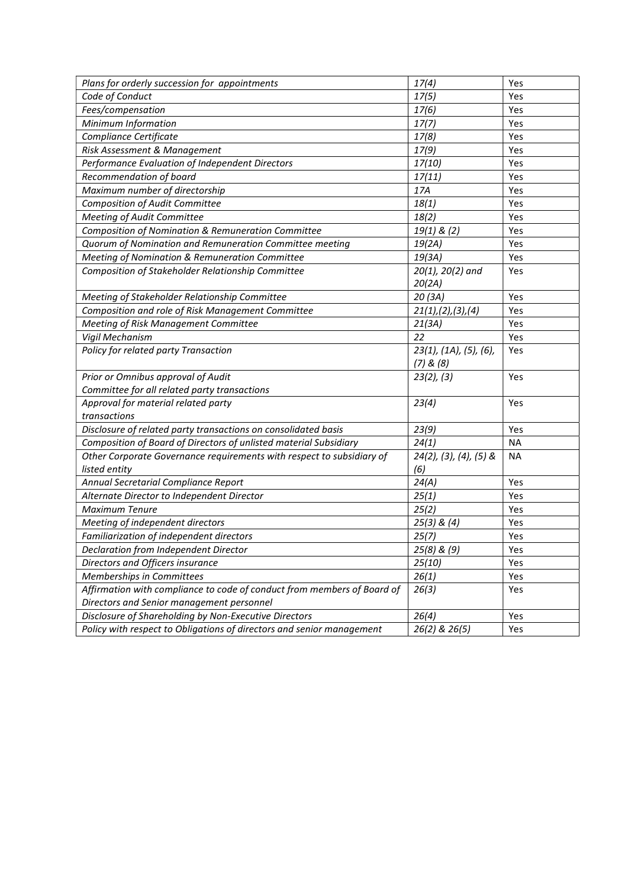| Plans for orderly succession for appointments                           | 17(4)                             | Yes       |
|-------------------------------------------------------------------------|-----------------------------------|-----------|
| Code of Conduct                                                         | 17(5)                             | Yes       |
| Fees/compensation                                                       | 17(6)                             | Yes       |
| Minimum Information                                                     | 17(7)                             | Yes       |
| Compliance Certificate                                                  | 17(8)                             | Yes       |
| Risk Assessment & Management                                            | 17(9)                             | Yes       |
| Performance Evaluation of Independent Directors                         | 17(10)                            | Yes       |
| Recommendation of board                                                 | 17(11)                            | Yes       |
| Maximum number of directorship                                          | 17A                               | Yes       |
| Composition of Audit Committee                                          | 18(1)                             | Yes       |
| Meeting of Audit Committee                                              | 18(2)                             | Yes       |
| Composition of Nomination & Remuneration Committee                      | $19(1)$ & (2)                     | Yes       |
| Quorum of Nomination and Remuneration Committee meeting                 | 19(2A)                            | Yes       |
| Meeting of Nomination & Remuneration Committee                          | 19(3A)                            | Yes       |
| Composition of Stakeholder Relationship Committee                       | 20(1), 20(2) and                  | Yes       |
|                                                                         | 20(2A)                            |           |
| Meeting of Stakeholder Relationship Committee                           | 20 (3A)                           | Yes       |
| Composition and role of Risk Management Committee                       | 21(1), (2), (3), (4)              | Yes       |
| Meeting of Risk Management Committee                                    | 21(3A)                            | Yes       |
| Vigil Mechanism                                                         | 22                                | Yes       |
| Policy for related party Transaction                                    | 23(1), (1A), (5), (6),            | Yes       |
|                                                                         | $(7)$ & $(8)$                     |           |
| Prior or Omnibus approval of Audit                                      | 23(2), (3)                        | Yes       |
| Committee for all related party transactions                            |                                   |           |
| Approval for material related party                                     | 23(4)                             | Yes       |
| transactions                                                            |                                   |           |
| Disclosure of related party transactions on consolidated basis          | 23(9)                             | Yes       |
| Composition of Board of Directors of unlisted material Subsidiary       | 24(1)                             | <b>NA</b> |
| Other Corporate Governance requirements with respect to subsidiary of   | $24(2)$ , $(3)$ , $(4)$ , $(5)$ & | <b>NA</b> |
| listed entity                                                           | (6)                               |           |
| Annual Secretarial Compliance Report                                    | 24(A)                             | Yes       |
| Alternate Director to Independent Director                              | 25(1)                             | Yes       |
| <b>Maximum Tenure</b>                                                   | 25(2)                             | Yes       |
| Meeting of independent directors                                        | $25(3)$ & $(4)$                   | Yes       |
| Familiarization of independent directors                                | 25(7)                             | Yes       |
| Declaration from Independent Director                                   | 25(8) & (9)                       | Yes       |
| Directors and Officers insurance                                        | 25(10)                            | Yes       |
| Memberships in Committees                                               | 26(1)                             | Yes       |
| Affirmation with compliance to code of conduct from members of Board of | 26(3)                             | Yes       |
| Directors and Senior management personnel                               |                                   |           |
| Disclosure of Shareholding by Non-Executive Directors                   | 26(4)                             | Yes       |
| Policy with respect to Obligations of directors and senior management   | 26(2) & 26(5)                     | Yes       |